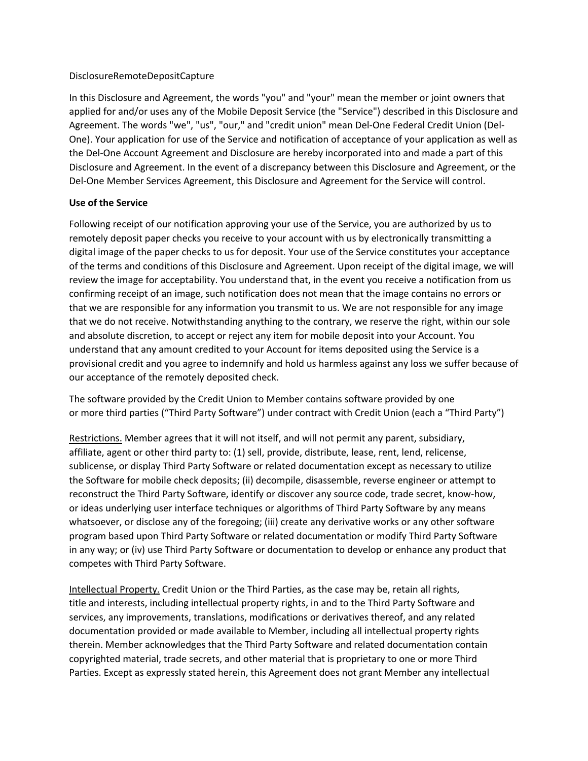#### DisclosureRemoteDepositCapture

In this Disclosure and Agreement, the words "you" and "your" mean the member or joint owners that applied for and/or uses any of the Mobile Deposit Service (the "Service") described in this Disclosure and Agreement. The words "we", "us", "our," and "credit union" mean Del-One Federal Credit Union (Del-One). Your application for use of the Service and notification of acceptance of your application as well as the Del-One Account Agreement and Disclosure are hereby incorporated into and made a part of this Disclosure and Agreement. In the event of a discrepancy between this Disclosure and Agreement, or the Del-One Member Services Agreement, this Disclosure and Agreement for the Service will control.

### **Use of the Service**

Following receipt of our notification approving your use of the Service, you are authorized by us to remotely deposit paper checks you receive to your account with us by electronically transmitting a digital image of the paper checks to us for deposit. Your use of the Service constitutes your acceptance of the terms and conditions of this Disclosure and Agreement. Upon receipt of the digital image, we will review the image for acceptability. You understand that, in the event you receive a notification from us confirming receipt of an image, such notification does not mean that the image contains no errors or that we are responsible for any information you transmit to us. We are not responsible for any image that we do not receive. Notwithstanding anything to the contrary, we reserve the right, within our sole and absolute discretion, to accept or reject any item for mobile deposit into your Account. You understand that any amount credited to your Account for items deposited using the Service is a provisional credit and you agree to indemnify and hold us harmless against any loss we suffer because of our acceptance of the remotely deposited check.

The software provided by the Credit Union to Member contains software provided by one or more third parties ("Third Party Software") under contract with Credit Union (each a "Third Party")

Restrictions. Member agrees that it will not itself, and will not permit any parent, subsidiary, affiliate, agent or other third party to: (1) sell, provide, distribute, lease, rent, lend, relicense, sublicense, or display Third Party Software or related documentation except as necessary to utilize the Software for mobile check deposits; (ii) decompile, disassemble, reverse engineer or attempt to reconstruct the Third Party Software, identify or discover any source code, trade secret, know-how, or ideas underlying user interface techniques or algorithms of Third Party Software by any means whatsoever, or disclose any of the foregoing; (iii) create any derivative works or any other software program based upon Third Party Software or related documentation or modify Third Party Software in any way; or (iv) use Third Party Software or documentation to develop or enhance any product that competes with Third Party Software.

Intellectual Property. Credit Union or the Third Parties, as the case may be, retain all rights, title and interests, including intellectual property rights, in and to the Third Party Software and services, any improvements, translations, modifications or derivatives thereof, and any related documentation provided or made available to Member, including all intellectual property rights therein. Member acknowledges that the Third Party Software and related documentation contain copyrighted material, trade secrets, and other material that is proprietary to one or more Third Parties. Except as expressly stated herein, this Agreement does not grant Member any intellectual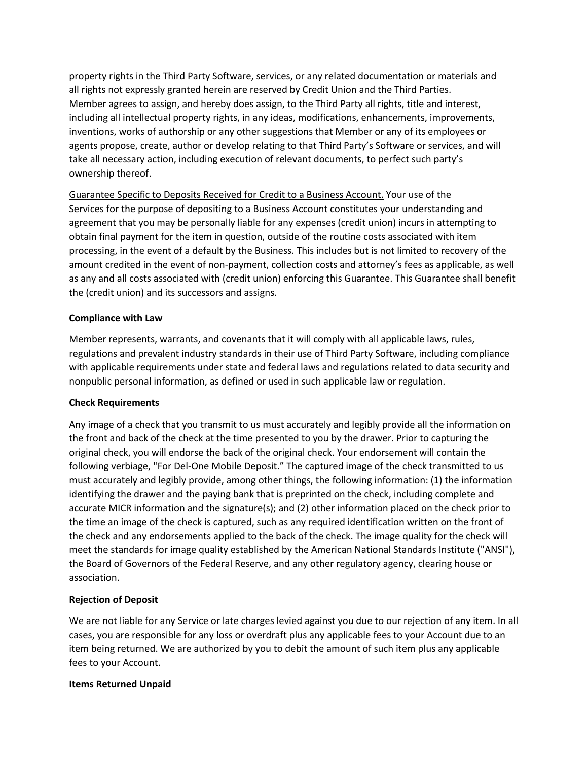property rights in the Third Party Software, services, or any related documentation or materials and all rights not expressly granted herein are reserved by Credit Union and the Third Parties. Member agrees to assign, and hereby does assign, to the Third Party all rights, title and interest, including all intellectual property rights, in any ideas, modifications, enhancements, improvements, inventions, works of authorship or any other suggestions that Member or any of its employees or agents propose, create, author or develop relating to that Third Party's Software or services, and will take all necessary action, including execution of relevant documents, to perfect such party's ownership thereof.

Guarantee Specific to Deposits Received for Credit to a Business Account. Your use of the Services for the purpose of depositing to a Business Account constitutes your understanding and agreement that you may be personally liable for any expenses (credit union) incurs in attempting to obtain final payment for the item in question, outside of the routine costs associated with item processing, in the event of a default by the Business. This includes but is not limited to recovery of the amount credited in the event of non-payment, collection costs and attorney's fees as applicable, as well as any and all costs associated with (credit union) enforcing this Guarantee. This Guarantee shall benefit the (credit union) and its successors and assigns.

### **Compliance with Law**

Member represents, warrants, and covenants that it will comply with all applicable laws, rules, regulations and prevalent industry standards in their use of Third Party Software, including compliance with applicable requirements under state and federal laws and regulations related to data security and nonpublic personal information, as defined or used in such applicable law or regulation.

### **Check Requirements**

Any image of a check that you transmit to us must accurately and legibly provide all the information on the front and back of the check at the time presented to you by the drawer. Prior to capturing the original check, you will endorse the back of the original check. Your endorsement will contain the following verbiage, "For Del-One Mobile Deposit." The captured image of the check transmitted to us must accurately and legibly provide, among other things, the following information: (1) the information identifying the drawer and the paying bank that is preprinted on the check, including complete and accurate MICR information and the signature(s); and (2) other information placed on the check prior to the time an image of the check is captured, such as any required identification written on the front of the check and any endorsements applied to the back of the check. The image quality for the check will meet the standards for image quality established by the American National Standards Institute ("ANSI"), the Board of Governors of the Federal Reserve, and any other regulatory agency, clearing house or association.

### **Rejection of Deposit**

We are not liable for any Service or late charges levied against you due to our rejection of any item. In all cases, you are responsible for any loss or overdraft plus any applicable fees to your Account due to an item being returned. We are authorized by you to debit the amount of such item plus any applicable fees to your Account.

### **Items Returned Unpaid**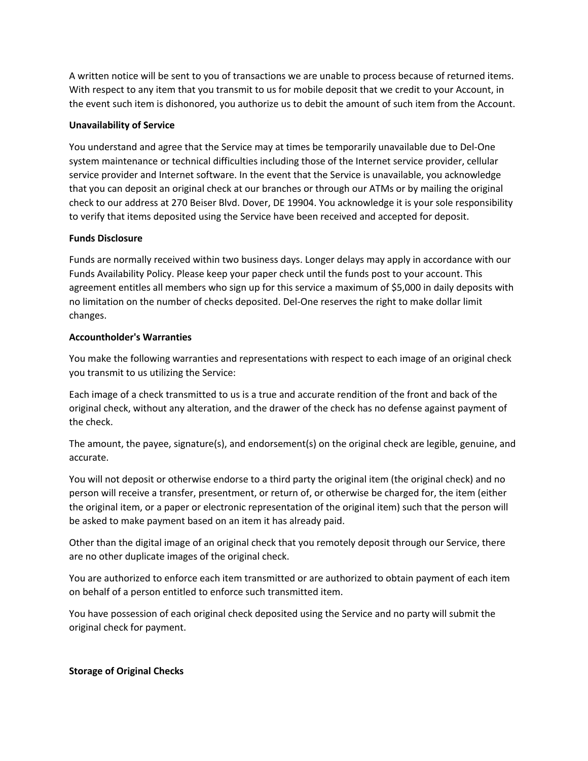A written notice will be sent to you of transactions we are unable to process because of returned items. With respect to any item that you transmit to us for mobile deposit that we credit to your Account, in the event such item is dishonored, you authorize us to debit the amount of such item from the Account.

## **Unavailability of Service**

You understand and agree that the Service may at times be temporarily unavailable due to Del-One system maintenance or technical difficulties including those of the Internet service provider, cellular service provider and Internet software. In the event that the Service is unavailable, you acknowledge that you can deposit an original check at our branches or through our ATMs or by mailing the original check to our address at 270 Beiser Blvd. Dover, DE 19904. You acknowledge it is your sole responsibility to verify that items deposited using the Service have been received and accepted for deposit.

## **Funds Disclosure**

Funds are normally received within two business days. Longer delays may apply in accordance with our Funds Availability Policy. Please keep your paper check until the funds post to your account. This agreement entitles all members who sign up for this service a maximum of \$5,000 in daily deposits with no limitation on the number of checks deposited. Del-One reserves the right to make dollar limit changes.

## **Accountholder's Warranties**

You make the following warranties and representations with respect to each image of an original check you transmit to us utilizing the Service:

Each image of a check transmitted to us is a true and accurate rendition of the front and back of the original check, without any alteration, and the drawer of the check has no defense against payment of the check.

The amount, the payee, signature(s), and endorsement(s) on the original check are legible, genuine, and accurate.

You will not deposit or otherwise endorse to a third party the original item (the original check) and no person will receive a transfer, presentment, or return of, or otherwise be charged for, the item (either the original item, or a paper or electronic representation of the original item) such that the person will be asked to make payment based on an item it has already paid.

Other than the digital image of an original check that you remotely deposit through our Service, there are no other duplicate images of the original check.

You are authorized to enforce each item transmitted or are authorized to obtain payment of each item on behalf of a person entitled to enforce such transmitted item.

You have possession of each original check deposited using the Service and no party will submit the original check for payment.

# **Storage of Original Checks**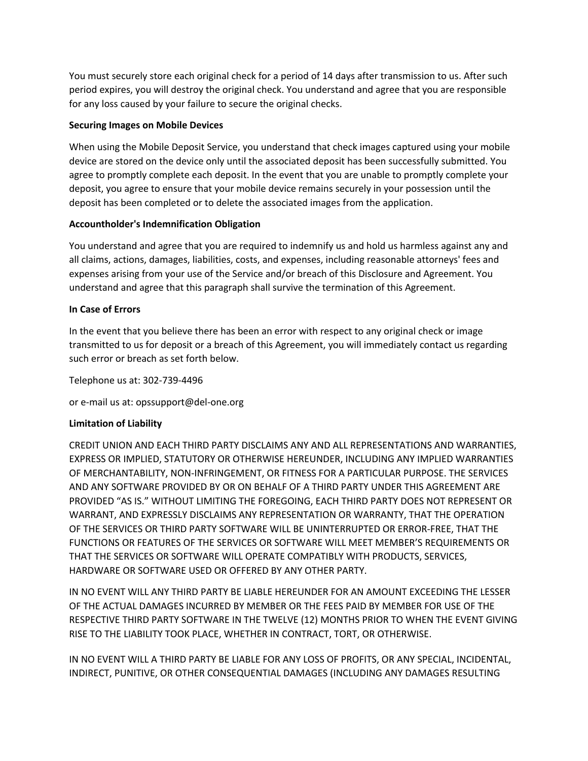You must securely store each original check for a period of 14 days after transmission to us. After such period expires, you will destroy the original check. You understand and agree that you are responsible for any loss caused by your failure to secure the original checks.

## **Securing Images on Mobile Devices**

When using the Mobile Deposit Service, you understand that check images captured using your mobile device are stored on the device only until the associated deposit has been successfully submitted. You agree to promptly complete each deposit. In the event that you are unable to promptly complete your deposit, you agree to ensure that your mobile device remains securely in your possession until the deposit has been completed or to delete the associated images from the application.

## **Accountholder's Indemnification Obligation**

You understand and agree that you are required to indemnify us and hold us harmless against any and all claims, actions, damages, liabilities, costs, and expenses, including reasonable attorneys' fees and expenses arising from your use of the Service and/or breach of this Disclosure and Agreement. You understand and agree that this paragraph shall survive the termination of this Agreement.

## **In Case of Errors**

In the event that you believe there has been an error with respect to any original check or image transmitted to us for deposit or a breach of this Agreement, you will immediately contact us regarding such error or breach as set forth below.

Telephone us at: 302-739-4496

or e-mail us at: opssupport@del-one.org

### **Limitation of Liability**

CREDIT UNION AND EACH THIRD PARTY DISCLAIMS ANY AND ALL REPRESENTATIONS AND WARRANTIES, EXPRESS OR IMPLIED, STATUTORY OR OTHERWISE HEREUNDER, INCLUDING ANY IMPLIED WARRANTIES OF MERCHANTABILITY, NON-INFRINGEMENT, OR FITNESS FOR A PARTICULAR PURPOSE. THE SERVICES AND ANY SOFTWARE PROVIDED BY OR ON BEHALF OF A THIRD PARTY UNDER THIS AGREEMENT ARE PROVIDED "AS IS." WITHOUT LIMITING THE FOREGOING, EACH THIRD PARTY DOES NOT REPRESENT OR WARRANT, AND EXPRESSLY DISCLAIMS ANY REPRESENTATION OR WARRANTY, THAT THE OPERATION OF THE SERVICES OR THIRD PARTY SOFTWARE WILL BE UNINTERRUPTED OR ERROR-FREE, THAT THE FUNCTIONS OR FEATURES OF THE SERVICES OR SOFTWARE WILL MEET MEMBER'S REQUIREMENTS OR THAT THE SERVICES OR SOFTWARE WILL OPERATE COMPATIBLY WITH PRODUCTS, SERVICES, HARDWARE OR SOFTWARE USED OR OFFERED BY ANY OTHER PARTY.

IN NO EVENT WILL ANY THIRD PARTY BE LIABLE HEREUNDER FOR AN AMOUNT EXCEEDING THE LESSER OF THE ACTUAL DAMAGES INCURRED BY MEMBER OR THE FEES PAID BY MEMBER FOR USE OF THE RESPECTIVE THIRD PARTY SOFTWARE IN THE TWELVE (12) MONTHS PRIOR TO WHEN THE EVENT GIVING RISE TO THE LIABILITY TOOK PLACE, WHETHER IN CONTRACT, TORT, OR OTHERWISE.

IN NO EVENT WILL A THIRD PARTY BE LIABLE FOR ANY LOSS OF PROFITS, OR ANY SPECIAL, INCIDENTAL, INDIRECT, PUNITIVE, OR OTHER CONSEQUENTIAL DAMAGES (INCLUDING ANY DAMAGES RESULTING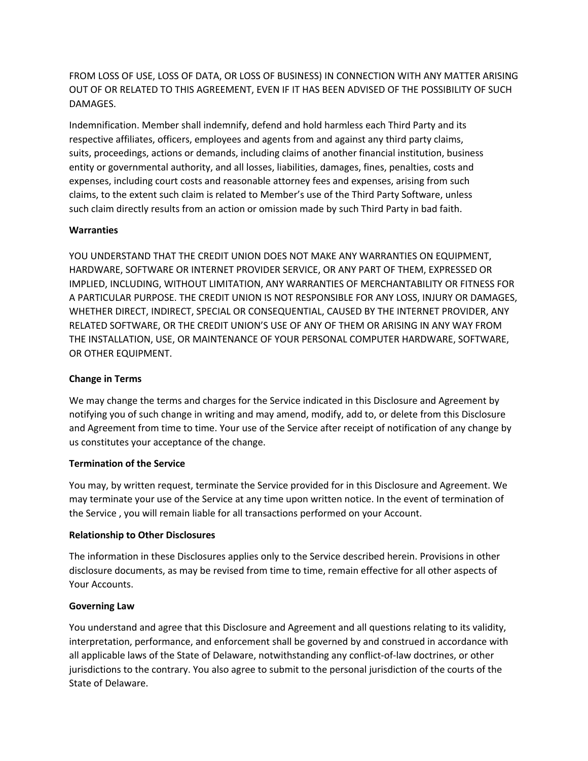FROM LOSS OF USE, LOSS OF DATA, OR LOSS OF BUSINESS) IN CONNECTION WITH ANY MATTER ARISING OUT OF OR RELATED TO THIS AGREEMENT, EVEN IF IT HAS BEEN ADVISED OF THE POSSIBILITY OF SUCH DAMAGES.

Indemnification. Member shall indemnify, defend and hold harmless each Third Party and its respective affiliates, officers, employees and agents from and against any third party claims, suits, proceedings, actions or demands, including claims of another financial institution, business entity or governmental authority, and all losses, liabilities, damages, fines, penalties, costs and expenses, including court costs and reasonable attorney fees and expenses, arising from such claims, to the extent such claim is related to Member's use of the Third Party Software, unless such claim directly results from an action or omission made by such Third Party in bad faith.

## **Warranties**

YOU UNDERSTAND THAT THE CREDIT UNION DOES NOT MAKE ANY WARRANTIES ON EQUIPMENT, HARDWARE, SOFTWARE OR INTERNET PROVIDER SERVICE, OR ANY PART OF THEM, EXPRESSED OR IMPLIED, INCLUDING, WITHOUT LIMITATION, ANY WARRANTIES OF MERCHANTABILITY OR FITNESS FOR A PARTICULAR PURPOSE. THE CREDIT UNION IS NOT RESPONSIBLE FOR ANY LOSS, INJURY OR DAMAGES, WHETHER DIRECT, INDIRECT, SPECIAL OR CONSEQUENTIAL, CAUSED BY THE INTERNET PROVIDER, ANY RELATED SOFTWARE, OR THE CREDIT UNION'S USE OF ANY OF THEM OR ARISING IN ANY WAY FROM THE INSTALLATION, USE, OR MAINTENANCE OF YOUR PERSONAL COMPUTER HARDWARE, SOFTWARE, OR OTHER EQUIPMENT.

### **Change in Terms**

We may change the terms and charges for the Service indicated in this Disclosure and Agreement by notifying you of such change in writing and may amend, modify, add to, or delete from this Disclosure and Agreement from time to time. Your use of the Service after receipt of notification of any change by us constitutes your acceptance of the change.

### **Termination of the Service**

You may, by written request, terminate the Service provided for in this Disclosure and Agreement. We may terminate your use of the Service at any time upon written notice. In the event of termination of the Service , you will remain liable for all transactions performed on your Account.

### **Relationship to Other Disclosures**

The information in these Disclosures applies only to the Service described herein. Provisions in other disclosure documents, as may be revised from time to time, remain effective for all other aspects of Your Accounts.

### **Governing Law**

You understand and agree that this Disclosure and Agreement and all questions relating to its validity, interpretation, performance, and enforcement shall be governed by and construed in accordance with all applicable laws of the State of Delaware, notwithstanding any conflict-of-law doctrines, or other jurisdictions to the contrary. You also agree to submit to the personal jurisdiction of the courts of the State of Delaware.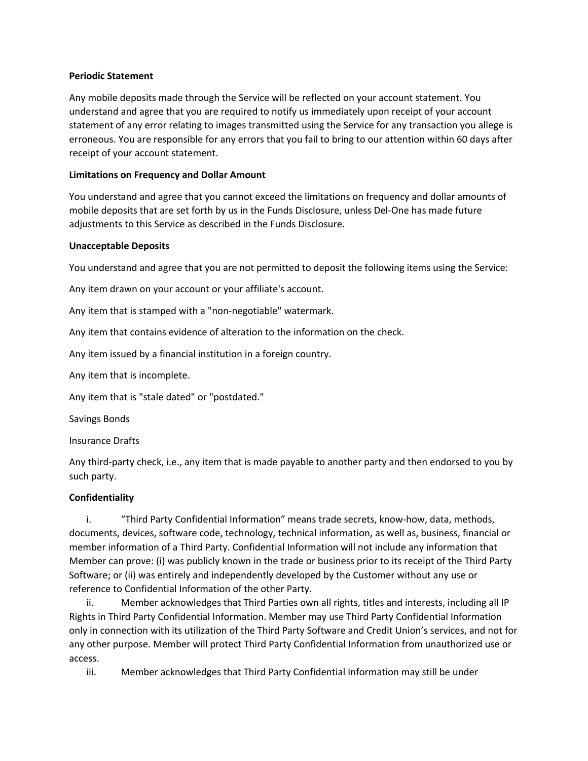#### **Periodic Statement**

Any mobile deposits made through the Service will be reflected on your account statement. You understand and agree that you are required to notify us immediately upon receipt of your account statement of any error relating to images transmitted using the Service for any transaction you allege is erroneous. You are responsible for any errors that you fail to bring to our attention within 60 days after receipt of your account statement.

### **Limitations on Frequency and Dollar Amount**

You understand and agree that you cannot exceed the limitations on frequency and dollar amounts of mobile deposits that are set forth by us in the Funds Disclosure, unless Del-One has made future adjustments to this Service as described in the Funds Disclosure.

#### **Unacceptable Deposits**

You understand and agree that you are not permitted to deposit the following items using the Service:

Any item drawn on your account or your affiliate's account.

Any item that is stamped with a "non-negotiable" watermark.

Any item that contains evidence of alteration to the information on the check.

Any item issued by a financial institution in a foreign country.

Any item that is incomplete.

Any item that is "stale dated" or "postdated."

Savings Bonds

Insurance Drafts

Any third-party check, i.e., any item that is made payable to another party and then endorsed to you by such party.

### **Confidentiality**

i. "Third Party Confidential Information" means trade secrets, know-how, data, methods, documents, devices, software code, technology, technical information, as well as, business, financial or member information of a Third Party. Confidential Information will not include any information that Member can prove: (i) was publicly known in the trade or business prior to its receipt of the Third Party Software; or (ii) was entirely and independently developed by the Customer without any use or reference to Confidential Information of the other Party.

ii. Member acknowledges that Third Parties own all rights, titles and interests, including all IP Rights in Third Party Confidential Information. Member may use Third Party Confidential Information only in connection with its utilization of the Third Party Software and Credit Union's services, and not for any other purpose. Member will protect Third Party Confidential Information from unauthorized use or access.

iii. Member acknowledges that Third Party Confidential Information may still be under